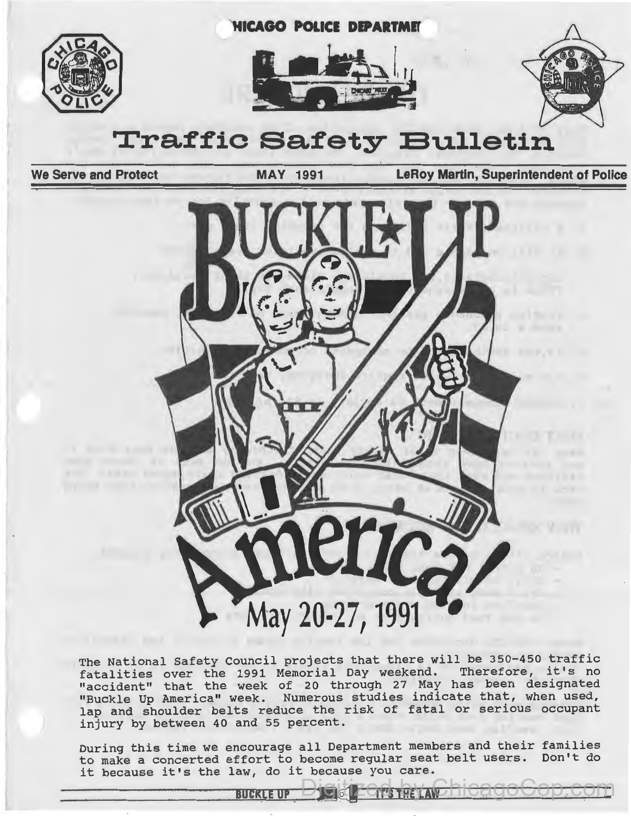

## **Traffic Safety Bulletin**

**We Serve and Protect MAY 1991 LeRoy Martin, Superintendent of Police** 

**<u>RetaChicagoCop.com</u>** 



The National Safety Council projects that there will be 350-450 traffic The National Sarety Council projects that there will be 330-430 trailic<br>fatalities over the 1991 Memorial Day weekend. Therefore, it's no "accident" that the week of 20 through 27 May has been designated "Buckle Up America" week. Numerous studies indicate that, when used, lap and shoulder belts reduce the risk of fatal or serious occupant *)* injury by between 40 and 55 percent.

During this time we encourage all Department members and their families to make a concerted effort to become regular seat belt users. Don't do to make a concerted effort to become regular seat<br>it because it's the law, do it because you care. it because it's the law, do it because you can<br>**BUCKLE UP**